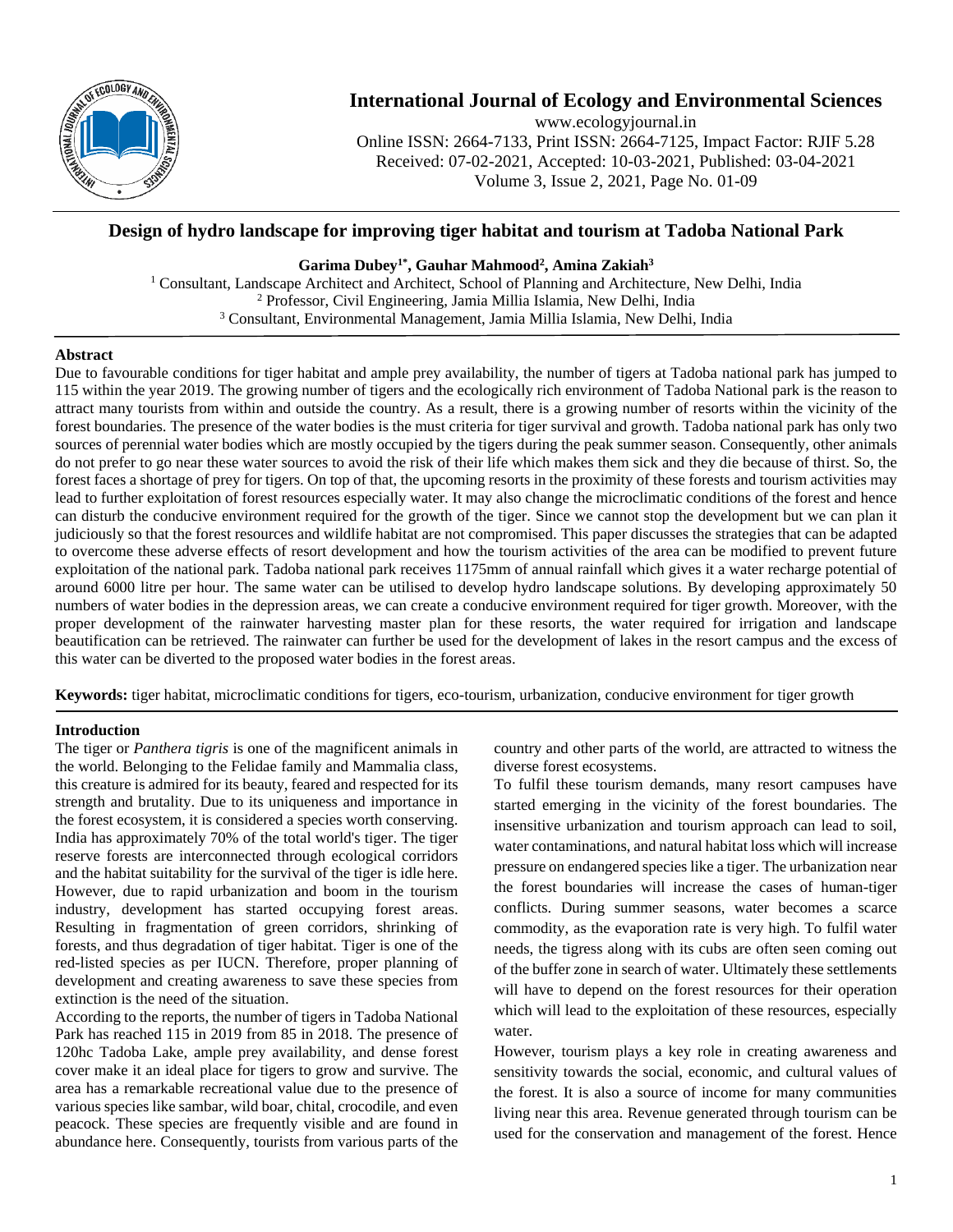

# **International Journal of Ecology and Environmental Sciences**

www.ecologyjournal.in Online ISSN: 2664-7133, Print ISSN: 2664-7125, Impact Factor: RJIF 5.28 Received: 07-02-2021, Accepted: 10-03-2021, Published: 03-04-2021 Volume 3, Issue 2, 2021, Page No. 01-09

# **Design of hydro landscape for improving tiger habitat and tourism at Tadoba National Park**

# **Garima Dubey1\* , Gauhar Mahmood<sup>2</sup> , Amina Zakiah<sup>3</sup>**

<sup>1</sup> Consultant, Landscape Architect and Architect, School of Planning and Architecture, New Delhi, India <sup>2</sup> Professor, Civil Engineering, Jamia Millia Islamia, New Delhi, India <sup>3</sup> Consultant, Environmental Management, Jamia Millia Islamia, New Delhi, India

### **Abstract**

Due to favourable conditions for tiger habitat and ample prey availability, the number of tigers at Tadoba national park has jumped to 115 within the year 2019. The growing number of tigers and the ecologically rich environment of Tadoba National park is the reason to attract many tourists from within and outside the country. As a result, there is a growing number of resorts within the vicinity of the forest boundaries. The presence of the water bodies is the must criteria for tiger survival and growth. Tadoba national park has only two sources of perennial water bodies which are mostly occupied by the tigers during the peak summer season. Consequently, other animals do not prefer to go near these water sources to avoid the risk of their life which makes them sick and they die because of thirst. So, the forest faces a shortage of prey for tigers. On top of that, the upcoming resorts in the proximity of these forests and tourism activities may lead to further exploitation of forest resources especially water. It may also change the microclimatic conditions of the forest and hence can disturb the conducive environment required for the growth of the tiger. Since we cannot stop the development but we can plan it judiciously so that the forest resources and wildlife habitat are not compromised. This paper discusses the strategies that can be adapted to overcome these adverse effects of resort development and how the tourism activities of the area can be modified to prevent future exploitation of the national park. Tadoba national park receives 1175mm of annual rainfall which gives it a water recharge potential of around 6000 litre per hour. The same water can be utilised to develop hydro landscape solutions. By developing approximately 50 numbers of water bodies in the depression areas, we can create a conducive environment required for tiger growth. Moreover, with the proper development of the rainwater harvesting master plan for these resorts, the water required for irrigation and landscape beautification can be retrieved. The rainwater can further be used for the development of lakes in the resort campus and the excess of this water can be diverted to the proposed water bodies in the forest areas.

**Keywords:** tiger habitat, microclimatic conditions for tigers, eco-tourism, urbanization, conducive environment for tiger growth

### **Introduction**

The tiger or *Panthera tigris* is one of the magnificent animals in the world. Belonging to the Felidae family and Mammalia class, this creature is admired for its beauty, feared and respected for its strength and brutality. Due to its uniqueness and importance in the forest ecosystem, it is considered a species worth conserving. India has approximately 70% of the total world's tiger. The tiger reserve forests are interconnected through ecological corridors and the habitat suitability for the survival of the tiger is idle here. However, due to rapid urbanization and boom in the tourism industry, development has started occupying forest areas. Resulting in fragmentation of green corridors, shrinking of forests, and thus degradation of tiger habitat. Tiger is one of the red-listed species as per IUCN. Therefore, proper planning of development and creating awareness to save these species from extinction is the need of the situation.

According to the reports, the number of tigers in Tadoba National Park has reached 115 in 2019 from 85 in 2018. The presence of 120hc Tadoba Lake, ample prey availability, and dense forest cover make it an ideal place for tigers to grow and survive. The area has a remarkable recreational value due to the presence of various species like sambar, wild boar, chital, crocodile, and even peacock. These species are frequently visible and are found in abundance here. Consequently, tourists from various parts of the

country and other parts of the world, are attracted to witness the diverse forest ecosystems.

To fulfil these tourism demands, many resort campuses have started emerging in the vicinity of the forest boundaries. The insensitive urbanization and tourism approach can lead to soil, water contaminations, and natural habitat loss which will increase pressure on endangered species like a tiger. The urbanization near the forest boundaries will increase the cases of human-tiger conflicts. During summer seasons, water becomes a scarce commodity, as the evaporation rate is very high. To fulfil water needs, the tigress along with its cubs are often seen coming out of the buffer zone in search of water. Ultimately these settlements will have to depend on the forest resources for their operation which will lead to the exploitation of these resources, especially water.

However, tourism plays a key role in creating awareness and sensitivity towards the social, economic, and cultural values of the forest. It is also a source of income for many communities living near this area. Revenue generated through tourism can be used for the conservation and management of the forest. Hence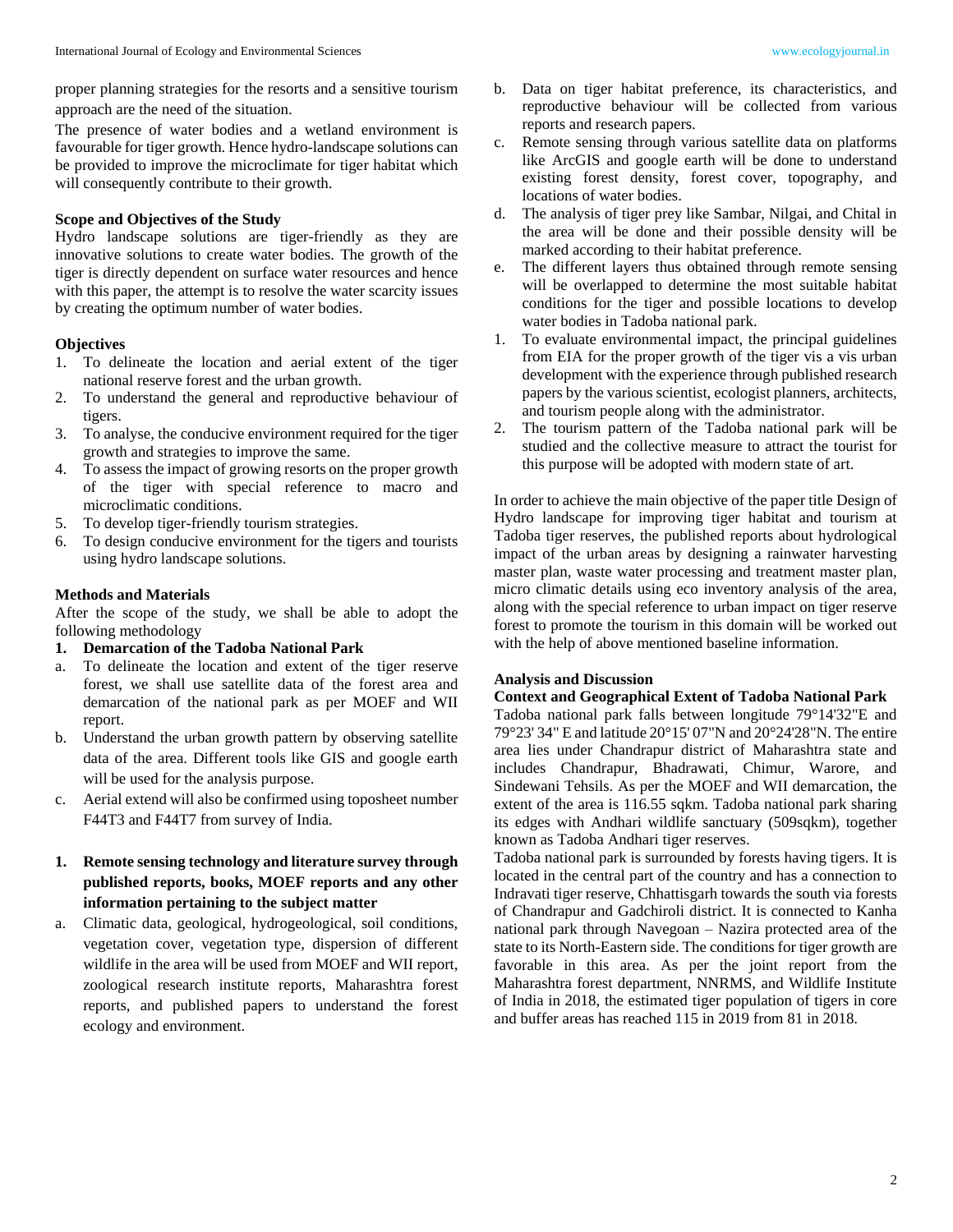proper planning strategies for the resorts and a sensitive tourism approach are the need of the situation.

The presence of water bodies and a wetland environment is favourable for tiger growth. Hence hydro-landscape solutions can be provided to improve the microclimate for tiger habitat which will consequently contribute to their growth.

### **Scope and Objectives of the Study**

Hydro landscape solutions are tiger-friendly as they are innovative solutions to create water bodies. The growth of the tiger is directly dependent on surface water resources and hence with this paper, the attempt is to resolve the water scarcity issues by creating the optimum number of water bodies.

#### **Objectives**

- 1. To delineate the location and aerial extent of the tiger national reserve forest and the urban growth.
- 2. To understand the general and reproductive behaviour of tigers.
- 3. To analyse, the conducive environment required for the tiger growth and strategies to improve the same.
- 4. To assess the impact of growing resorts on the proper growth of the tiger with special reference to macro and microclimatic conditions.
- 5. To develop tiger-friendly tourism strategies.
- 6. To design conducive environment for the tigers and tourists using hydro landscape solutions.

#### **Methods and Materials**

After the scope of the study, we shall be able to adopt the following methodology

- **1. Demarcation of the Tadoba National Park**
- a. To delineate the location and extent of the tiger reserve forest, we shall use satellite data of the forest area and demarcation of the national park as per MOEF and WII report.
- b. Understand the urban growth pattern by observing satellite data of the area. Different tools like GIS and google earth will be used for the analysis purpose.
- c. Aerial extend will also be confirmed using toposheet number F44T3 and F44T7 from survey of India.
- **1. Remote sensing technology and literature survey through published reports, books, MOEF reports and any other information pertaining to the subject matter**
- a. Climatic data, geological, hydrogeological, soil conditions, vegetation cover, vegetation type, dispersion of different wildlife in the area will be used from MOEF and WII report, zoological research institute reports, Maharashtra forest reports, and published papers to understand the forest ecology and environment.
- b. Data on tiger habitat preference, its characteristics, and reproductive behaviour will be collected from various reports and research papers.
- c. Remote sensing through various satellite data on platforms like ArcGIS and google earth will be done to understand existing forest density, forest cover, topography, and locations of water bodies.
- d. The analysis of tiger prey like Sambar, Nilgai, and Chital in the area will be done and their possible density will be marked according to their habitat preference.
- e. The different layers thus obtained through remote sensing will be overlapped to determine the most suitable habitat conditions for the tiger and possible locations to develop water bodies in Tadoba national park.
- 1. To evaluate environmental impact, the principal guidelines from EIA for the proper growth of the tiger vis a vis urban development with the experience through published research papers by the various scientist, ecologist planners, architects, and tourism people along with the administrator.
- 2. The tourism pattern of the Tadoba national park will be studied and the collective measure to attract the tourist for this purpose will be adopted with modern state of art.

In order to achieve the main objective of the paper title Design of Hydro landscape for improving tiger habitat and tourism at Tadoba tiger reserves, the published reports about hydrological impact of the urban areas by designing a rainwater harvesting master plan, waste water processing and treatment master plan, micro climatic details using eco inventory analysis of the area, along with the special reference to urban impact on tiger reserve forest to promote the tourism in this domain will be worked out with the help of above mentioned baseline information.

#### **Analysis and Discussion**

#### **Context and Geographical Extent of Tadoba National Park**

Tadoba national park falls between longitude 79°14'32"E and 79°23' 34" E and latitude 20°15' 07"N and 20°24'28"N. The entire area lies under Chandrapur district of Maharashtra state and includes Chandrapur, Bhadrawati, Chimur, Warore, and Sindewani Tehsils. As per the MOEF and WII demarcation, the extent of the area is 116.55 sqkm. Tadoba national park sharing its edges with Andhari wildlife sanctuary (509sqkm), together known as Tadoba Andhari tiger reserves.

Tadoba national park is surrounded by forests having tigers. It is located in the central part of the country and has a connection to Indravati tiger reserve, Chhattisgarh towards the south via forests of Chandrapur and Gadchiroli district. It is connected to Kanha national park through Navegoan – Nazira protected area of the state to its North-Eastern side. The conditions for tiger growth are favorable in this area. As per the joint report from the Maharashtra forest department, NNRMS, and Wildlife Institute of India in 2018, the estimated tiger population of tigers in core and buffer areas has reached 115 in 2019 from 81 in 2018.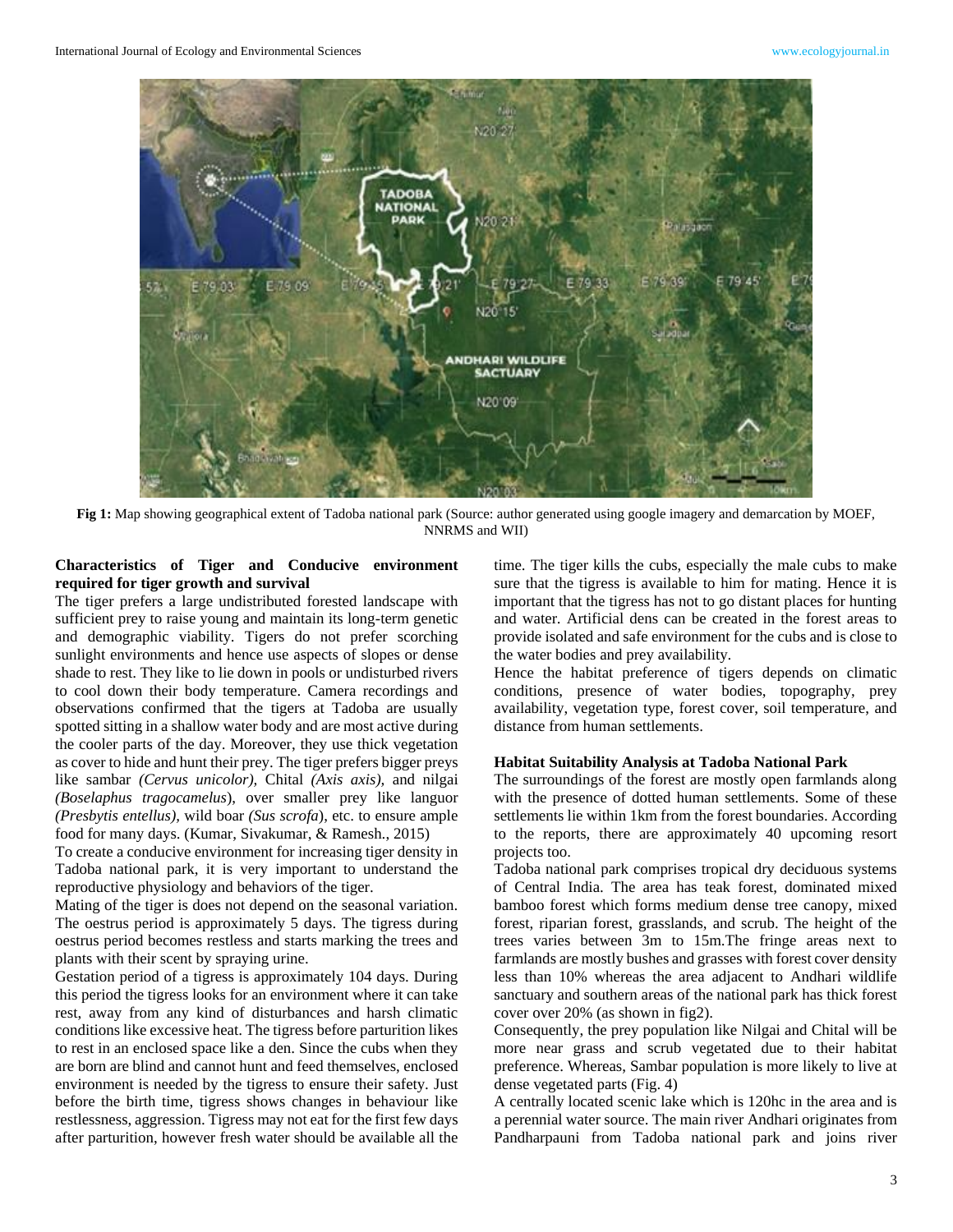

**Fig 1:** Map showing geographical extent of Tadoba national park (Source: author generated using google imagery and demarcation by MOEF, NNRMS and WII)

## **Characteristics of Tiger and Conducive environment required for tiger growth and survival**

The tiger prefers a large undistributed forested landscape with sufficient prey to raise young and maintain its long-term genetic and demographic viability. Tigers do not prefer scorching sunlight environments and hence use aspects of slopes or dense shade to rest. They like to lie down in pools or undisturbed rivers to cool down their body temperature. Camera recordings and observations confirmed that the tigers at Tadoba are usually spotted sitting in a shallow water body and are most active during the cooler parts of the day. Moreover, they use thick vegetation as cover to hide and hunt their prey. The tiger prefers bigger preys like sambar *(Cervus unicolor),* Chital *(Axis axis),* and nilgai *(Boselaphus tragocamelus*), over smaller prey like languor *(Presbytis entellus),* wild boar *(Sus scrofa*), etc. to ensure ample food for many days. (Kumar, Sivakumar, & Ramesh., 2015)

To create a conducive environment for increasing tiger density in Tadoba national park, it is very important to understand the reproductive physiology and behaviors of the tiger.

Mating of the tiger is does not depend on the seasonal variation. The oestrus period is approximately 5 days. The tigress during oestrus period becomes restless and starts marking the trees and plants with their scent by spraying urine.

Gestation period of a tigress is approximately 104 days. During this period the tigress looks for an environment where it can take rest, away from any kind of disturbances and harsh climatic conditions like excessive heat. The tigress before parturition likes to rest in an enclosed space like a den. Since the cubs when they are born are blind and cannot hunt and feed themselves, enclosed environment is needed by the tigress to ensure their safety. Just before the birth time, tigress shows changes in behaviour like restlessness, aggression. Tigress may not eat for the first few days after parturition, however fresh water should be available all the time. The tiger kills the cubs, especially the male cubs to make sure that the tigress is available to him for mating. Hence it is important that the tigress has not to go distant places for hunting and water. Artificial dens can be created in the forest areas to provide isolated and safe environment for the cubs and is close to the water bodies and prey availability.

Hence the habitat preference of tigers depends on climatic conditions, presence of water bodies, topography, prey availability, vegetation type, forest cover, soil temperature, and distance from human settlements.

#### **Habitat Suitability Analysis at Tadoba National Park**

The surroundings of the forest are mostly open farmlands along with the presence of dotted human settlements. Some of these settlements lie within 1km from the forest boundaries. According to the reports, there are approximately 40 upcoming resort projects too.

Tadoba national park comprises tropical dry deciduous systems of Central India. The area has teak forest, dominated mixed bamboo forest which forms medium dense tree canopy, mixed forest, riparian forest, grasslands, and scrub. The height of the trees varies between 3m to 15m.The fringe areas next to farmlands are mostly bushes and grasses with forest cover density less than 10% whereas the area adjacent to Andhari wildlife sanctuary and southern areas of the national park has thick forest cover over 20% (as shown in fig2).

Consequently, the prey population like Nilgai and Chital will be more near grass and scrub vegetated due to their habitat preference. Whereas, Sambar population is more likely to live at dense vegetated parts (Fig. 4)

A centrally located scenic lake which is 120hc in the area and is a perennial water source. The main river Andhari originates from Pandharpauni from Tadoba national park and joins river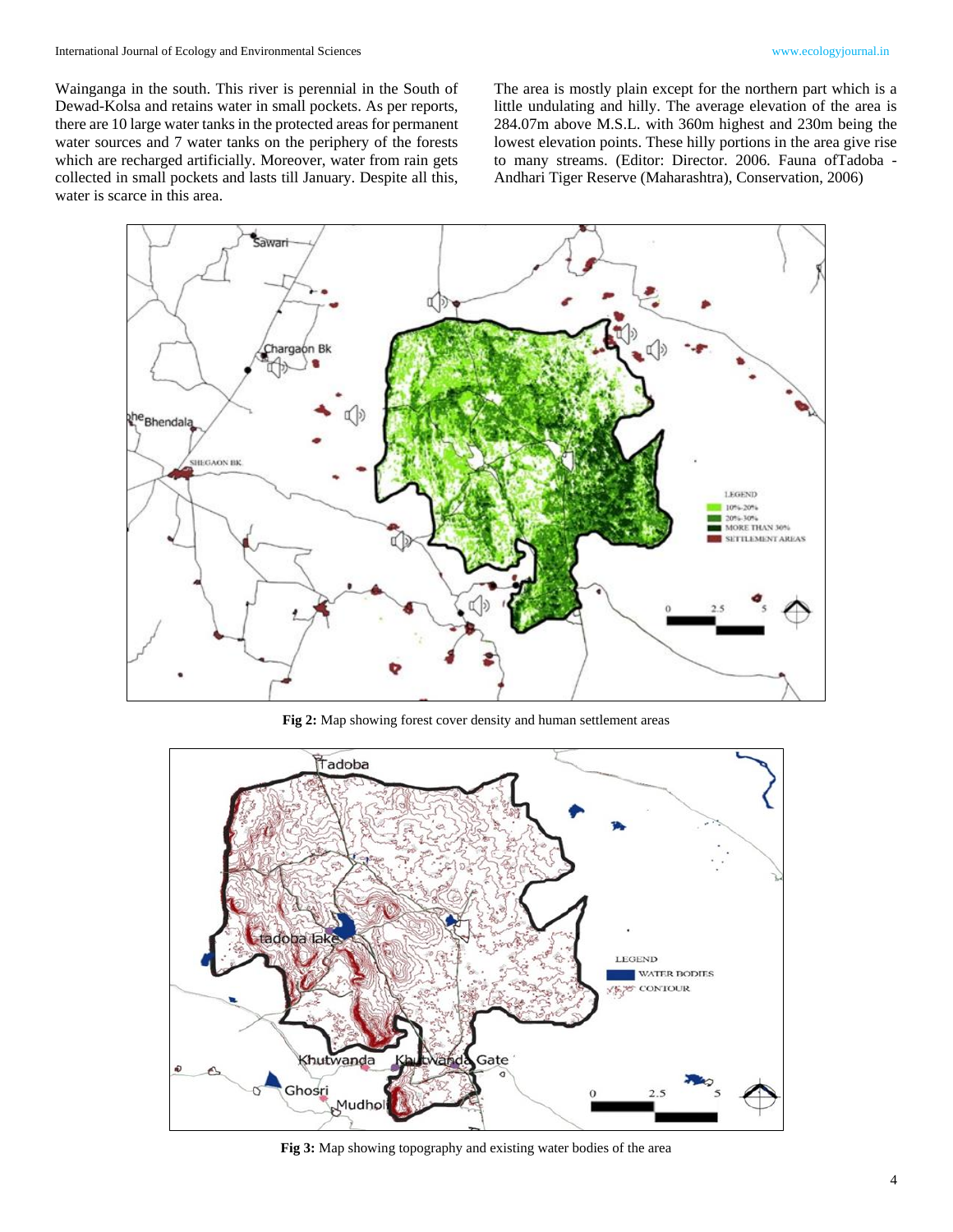Wainganga in the south. This river is perennial in the South of Dewad-Kolsa and retains water in small pockets. As per reports, there are 10 large water tanks in the protected areas for permanent water sources and 7 water tanks on the periphery of the forests which are recharged artificially. Moreover, water from rain gets collected in small pockets and lasts till January. Despite all this, water is scarce in this area.

The area is mostly plain except for the northern part which is a little undulating and hilly. The average elevation of the area is 284.07m above M.S.L. with 360m highest and 230m being the lowest elevation points. These hilly portions in the area give rise to many streams. (Editor: Director. 2006. Fauna ofTadoba - Andhari Tiger Reserve (Maharashtra), Conservation, 2006)



**Fig 2:** Map showing forest cover density and human settlement areas



**Fig 3:** Map showing topography and existing water bodies of the area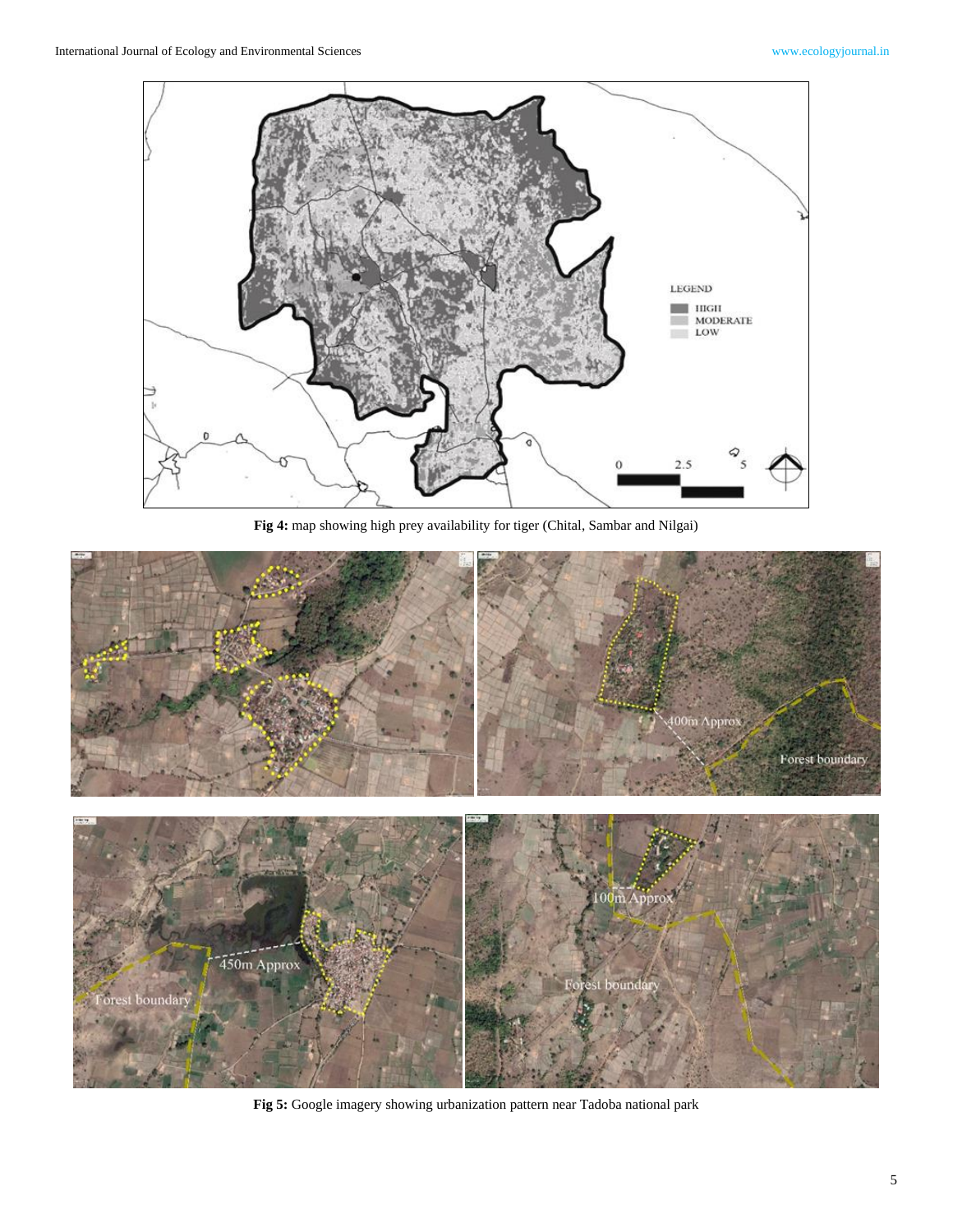

**Fig 4:** map showing high prey availability for tiger (Chital, Sambar and Nilgai)



**Fig 5:** Google imagery showing urbanization pattern near Tadoba national park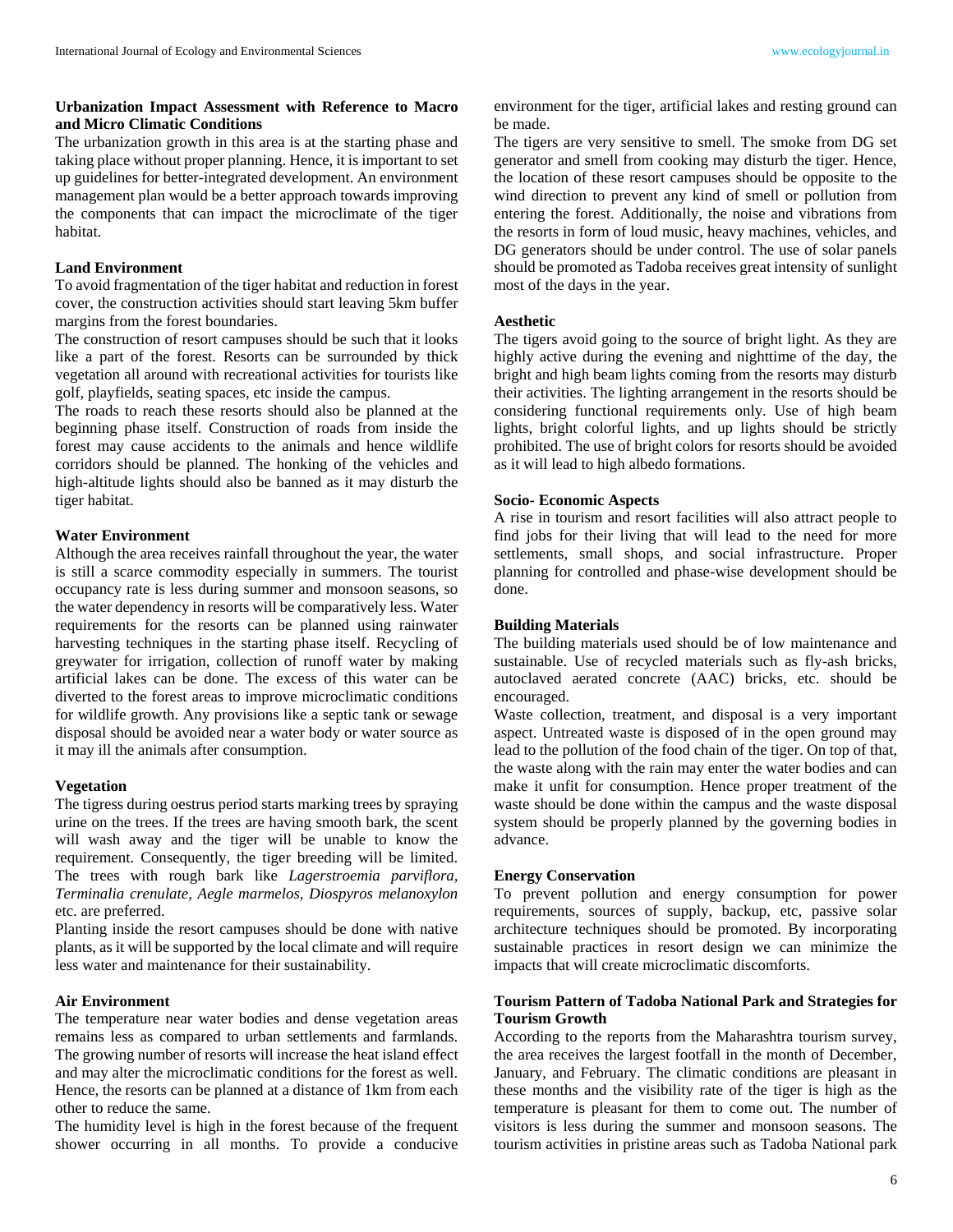### **Urbanization Impact Assessment with Reference to Macro and Micro Climatic Conditions**

The urbanization growth in this area is at the starting phase and taking place without proper planning. Hence, it is important to set up guidelines for better-integrated development. An environment management plan would be a better approach towards improving the components that can impact the microclimate of the tiger habitat.

### **Land Environment**

To avoid fragmentation of the tiger habitat and reduction in forest cover, the construction activities should start leaving 5km buffer margins from the forest boundaries.

The construction of resort campuses should be such that it looks like a part of the forest. Resorts can be surrounded by thick vegetation all around with recreational activities for tourists like golf, playfields, seating spaces, etc inside the campus.

The roads to reach these resorts should also be planned at the beginning phase itself. Construction of roads from inside the forest may cause accidents to the animals and hence wildlife corridors should be planned. The honking of the vehicles and high-altitude lights should also be banned as it may disturb the tiger habitat.

### **Water Environment**

Although the area receives rainfall throughout the year, the water is still a scarce commodity especially in summers. The tourist occupancy rate is less during summer and monsoon seasons, so the water dependency in resorts will be comparatively less. Water requirements for the resorts can be planned using rainwater harvesting techniques in the starting phase itself. Recycling of greywater for irrigation, collection of runoff water by making artificial lakes can be done. The excess of this water can be diverted to the forest areas to improve microclimatic conditions for wildlife growth. Any provisions like a septic tank or sewage disposal should be avoided near a water body or water source as it may ill the animals after consumption.

### **Vegetation**

The tigress during oestrus period starts marking trees by spraying urine on the trees. If the trees are having smooth bark, the scent will wash away and the tiger will be unable to know the requirement. Consequently, the tiger breeding will be limited. The trees with rough bark like *Lagerstroemia parviflora, Terminalia crenulate, Aegle marmelos, Diospyros melanoxylon* etc. are preferred.

Planting inside the resort campuses should be done with native plants, as it will be supported by the local climate and will require less water and maintenance for their sustainability.

### **Air Environment**

The temperature near water bodies and dense vegetation areas remains less as compared to urban settlements and farmlands. The growing number of resorts will increase the heat island effect and may alter the microclimatic conditions for the forest as well. Hence, the resorts can be planned at a distance of 1km from each other to reduce the same.

The humidity level is high in the forest because of the frequent shower occurring in all months. To provide a conducive environment for the tiger, artificial lakes and resting ground can be made.

The tigers are very sensitive to smell. The smoke from DG set generator and smell from cooking may disturb the tiger. Hence, the location of these resort campuses should be opposite to the wind direction to prevent any kind of smell or pollution from entering the forest. Additionally, the noise and vibrations from the resorts in form of loud music, heavy machines, vehicles, and DG generators should be under control. The use of solar panels should be promoted as Tadoba receives great intensity of sunlight most of the days in the year.

### **Aesthetic**

The tigers avoid going to the source of bright light. As they are highly active during the evening and nighttime of the day, the bright and high beam lights coming from the resorts may disturb their activities. The lighting arrangement in the resorts should be considering functional requirements only. Use of high beam lights, bright colorful lights, and up lights should be strictly prohibited. The use of bright colors for resorts should be avoided as it will lead to high albedo formations.

### **Socio- Economic Aspects**

A rise in tourism and resort facilities will also attract people to find jobs for their living that will lead to the need for more settlements, small shops, and social infrastructure. Proper planning for controlled and phase-wise development should be done.

### **Building Materials**

The building materials used should be of low maintenance and sustainable. Use of recycled materials such as fly-ash bricks, autoclaved aerated concrete (AAC) bricks, etc. should be encouraged.

Waste collection, treatment, and disposal is a very important aspect. Untreated waste is disposed of in the open ground may lead to the pollution of the food chain of the tiger. On top of that, the waste along with the rain may enter the water bodies and can make it unfit for consumption. Hence proper treatment of the waste should be done within the campus and the waste disposal system should be properly planned by the governing bodies in advance.

### **Energy Conservation**

To prevent pollution and energy consumption for power requirements, sources of supply, backup, etc, passive solar architecture techniques should be promoted. By incorporating sustainable practices in resort design we can minimize the impacts that will create microclimatic discomforts.

### **Tourism Pattern of Tadoba National Park and Strategies for Tourism Growth**

According to the reports from the Maharashtra tourism survey, the area receives the largest footfall in the month of December, January, and February. The climatic conditions are pleasant in these months and the visibility rate of the tiger is high as the temperature is pleasant for them to come out. The number of visitors is less during the summer and monsoon seasons. The tourism activities in pristine areas such as Tadoba National park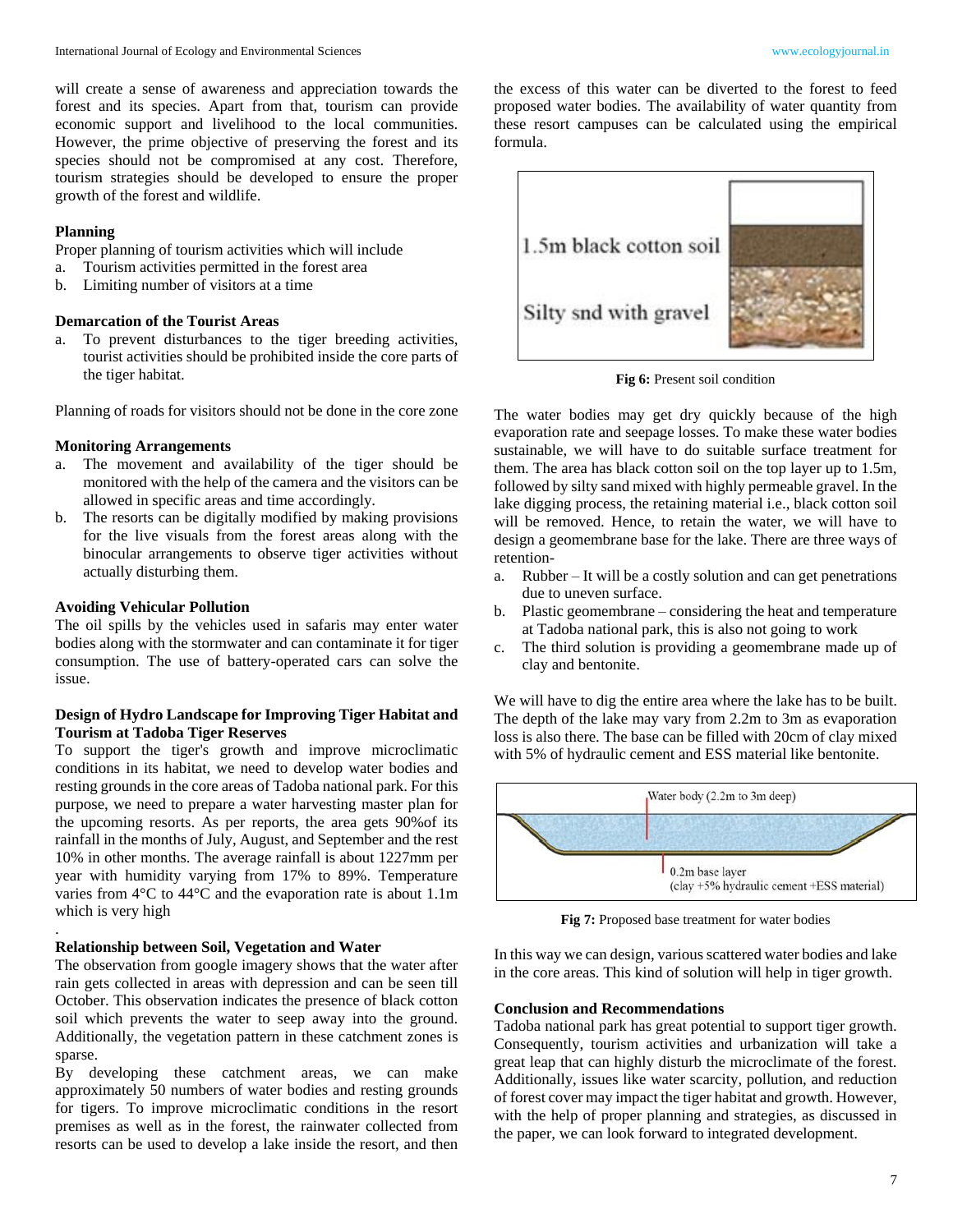will create a sense of awareness and appreciation towards the forest and its species. Apart from that, tourism can provide economic support and livelihood to the local communities. However, the prime objective of preserving the forest and its species should not be compromised at any cost. Therefore, tourism strategies should be developed to ensure the proper growth of the forest and wildlife.

### **Planning**

Proper planning of tourism activities which will include

- a. Tourism activities permitted in the forest area
- b. Limiting number of visitors at a time

### **Demarcation of the Tourist Areas**

a. To prevent disturbances to the tiger breeding activities, tourist activities should be prohibited inside the core parts of the tiger habitat.

Planning of roads for visitors should not be done in the core zone

### **Monitoring Arrangements**

- a. The movement and availability of the tiger should be monitored with the help of the camera and the visitors can be allowed in specific areas and time accordingly.
- b. The resorts can be digitally modified by making provisions for the live visuals from the forest areas along with the binocular arrangements to observe tiger activities without actually disturbing them.

### **Avoiding Vehicular Pollution**

.

The oil spills by the vehicles used in safaris may enter water bodies along with the stormwater and can contaminate it for tiger consumption. The use of battery-operated cars can solve the issue.

### **Design of Hydro Landscape for Improving Tiger Habitat and Tourism at Tadoba Tiger Reserves**

To support the tiger's growth and improve microclimatic conditions in its habitat, we need to develop water bodies and resting grounds in the core areas of Tadoba national park. For this purpose, we need to prepare a water harvesting master plan for the upcoming resorts. As per reports, the area gets 90%of its rainfall in the months of July, August, and September and the rest 10% in other months. The average rainfall is about 1227mm per year with humidity varying from 17% to 89%. Temperature varies from 4°C to 44°C and the evaporation rate is about 1.1m which is very high

#### **Relationship between Soil, Vegetation and Water**

The observation from google imagery shows that the water after rain gets collected in areas with depression and can be seen till October. This observation indicates the presence of black cotton soil which prevents the water to seep away into the ground. Additionally, the vegetation pattern in these catchment zones is sparse.

By developing these catchment areas, we can make approximately 50 numbers of water bodies and resting grounds for tigers. To improve microclimatic conditions in the resort premises as well as in the forest, the rainwater collected from resorts can be used to develop a lake inside the resort, and then

the excess of this water can be diverted to the forest to feed proposed water bodies. The availability of water quantity from these resort campuses can be calculated using the empirical formula.



**Fig 6:** Present soil condition

The water bodies may get dry quickly because of the high evaporation rate and seepage losses. To make these water bodies sustainable, we will have to do suitable surface treatment for them. The area has black cotton soil on the top layer up to 1.5m, followed by silty sand mixed with highly permeable gravel. In the lake digging process, the retaining material i.e., black cotton soil will be removed. Hence, to retain the water, we will have to design a geomembrane base for the lake. There are three ways of retention-

- a. Rubber It will be a costly solution and can get penetrations due to uneven surface.
- b. Plastic geomembrane considering the heat and temperature at Tadoba national park, this is also not going to work
- c. The third solution is providing a geomembrane made up of clay and bentonite.

We will have to dig the entire area where the lake has to be built. The depth of the lake may vary from 2.2m to 3m as evaporation loss is also there. The base can be filled with 20cm of clay mixed with 5% of hydraulic cement and ESS material like bentonite.



**Fig 7:** Proposed base treatment for water bodies

In this way we can design, various scattered water bodies and lake in the core areas. This kind of solution will help in tiger growth.

### **Conclusion and Recommendations**

Tadoba national park has great potential to support tiger growth. Consequently, tourism activities and urbanization will take a great leap that can highly disturb the microclimate of the forest. Additionally, issues like water scarcity, pollution, and reduction of forest cover may impact the tiger habitat and growth. However, with the help of proper planning and strategies, as discussed in the paper, we can look forward to integrated development.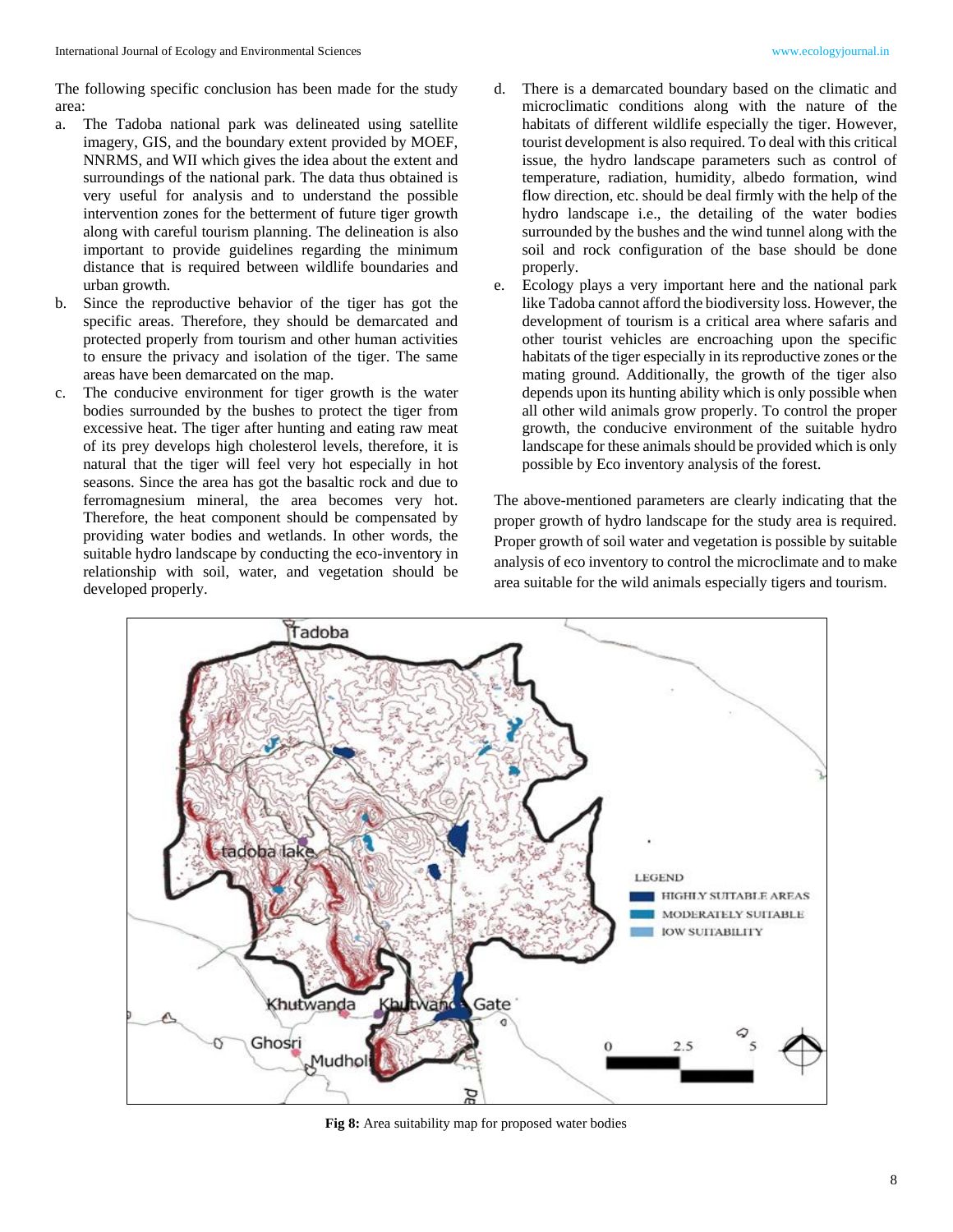The following specific conclusion has been made for the study area:

- a. The Tadoba national park was delineated using satellite imagery, GIS, and the boundary extent provided by MOEF, NNRMS, and WII which gives the idea about the extent and surroundings of the national park. The data thus obtained is very useful for analysis and to understand the possible intervention zones for the betterment of future tiger growth along with careful tourism planning. The delineation is also important to provide guidelines regarding the minimum distance that is required between wildlife boundaries and urban growth.
- b. Since the reproductive behavior of the tiger has got the specific areas. Therefore, they should be demarcated and protected properly from tourism and other human activities to ensure the privacy and isolation of the tiger. The same areas have been demarcated on the map.
- c. The conducive environment for tiger growth is the water bodies surrounded by the bushes to protect the tiger from excessive heat. The tiger after hunting and eating raw meat of its prey develops high cholesterol levels, therefore, it is natural that the tiger will feel very hot especially in hot seasons. Since the area has got the basaltic rock and due to ferromagnesium mineral, the area becomes very hot. Therefore, the heat component should be compensated by providing water bodies and wetlands. In other words, the suitable hydro landscape by conducting the eco-inventory in relationship with soil, water, and vegetation should be developed properly.
- d. There is a demarcated boundary based on the climatic and microclimatic conditions along with the nature of the habitats of different wildlife especially the tiger. However, tourist development is also required. To deal with this critical issue, the hydro landscape parameters such as control of temperature, radiation, humidity, albedo formation, wind flow direction, etc. should be deal firmly with the help of the hydro landscape i.e., the detailing of the water bodies surrounded by the bushes and the wind tunnel along with the soil and rock configuration of the base should be done properly.
- e. Ecology plays a very important here and the national park like Tadoba cannot afford the biodiversity loss. However, the development of tourism is a critical area where safaris and other tourist vehicles are encroaching upon the specific habitats of the tiger especially in its reproductive zones or the mating ground. Additionally, the growth of the tiger also depends upon its hunting ability which is only possible when all other wild animals grow properly. To control the proper growth, the conducive environment of the suitable hydro landscape for these animals should be provided which is only possible by Eco inventory analysis of the forest.

The above-mentioned parameters are clearly indicating that the proper growth of hydro landscape for the study area is required. Proper growth of soil water and vegetation is possible by suitable analysis of eco inventory to control the microclimate and to make area suitable for the wild animals especially tigers and tourism.



**Fig 8:** Area suitability map for proposed water bodies